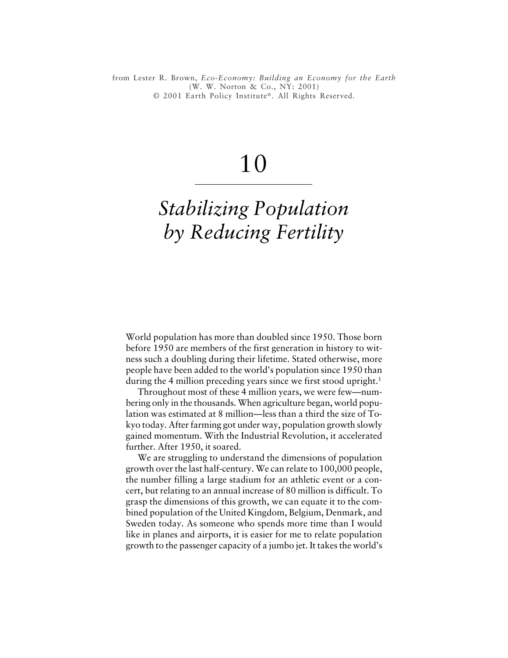*Stabilizing Population by Reducing Fertility 211* © 2001 Earth Policy Institute®. All Rights Reserved.from Lester R. Brown, *Eco-Economy: Building an Economy for the Earth* (W. W. Norton & Co., NY: 2001)

# 10

# *Stabilizing Population by Reducing Fertility*

World population has more than doubled since 1950. Those born before 1950 are members of the first generation in history to witness such a doubling during their lifetime. Stated otherwise, more people have been added to the world's population since 1950 than during the 4 million preceding years since we first stood upright.<sup>1</sup>

Throughout most of these 4 million years, we were few—numbering only in the thousands. When agriculture began, world population was estimated at 8 million—less than a third the size of Tokyo today. After farming got under way, population growth slowly gained momentum. With the Industrial Revolution, it accelerated further. After 1950, it soared.

We are struggling to understand the dimensions of population growth over the last half-century. We can relate to 100,000 people, the number filling a large stadium for an athletic event or a concert, but relating to an annual increase of 80 million is difficult. To grasp the dimensions of this growth, we can equate it to the combined population of the United Kingdom, Belgium, Denmark, and Sweden today. As someone who spends more time than I would like in planes and airports, it is easier for me to relate population growth to the passenger capacity of a jumbo jet. It takes the world's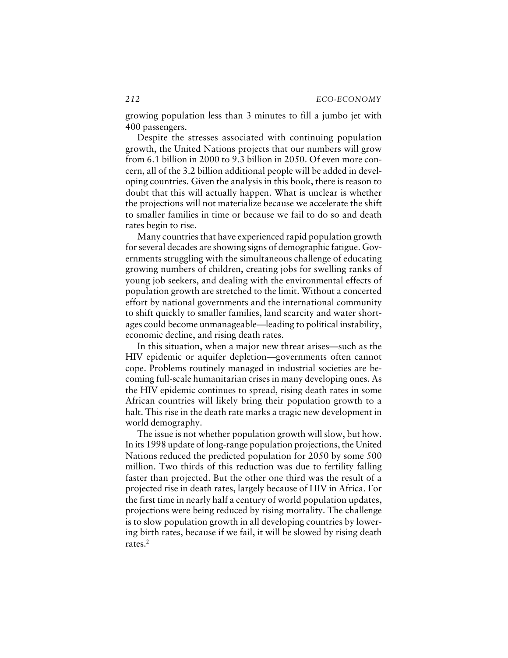growing population less than 3 minutes to fill a jumbo jet with 400 passengers.

Despite the stresses associated with continuing population growth, the United Nations projects that our numbers will grow from 6.1 billion in 2000 to 9.3 billion in 2050. Of even more concern, all of the 3.2 billion additional people will be added in developing countries. Given the analysis in this book, there is reason to doubt that this will actually happen. What is unclear is whether the projections will not materialize because we accelerate the shift to smaller families in time or because we fail to do so and death rates begin to rise.

Many countries that have experienced rapid population growth for several decades are showing signs of demographic fatigue. Governments struggling with the simultaneous challenge of educating growing numbers of children, creating jobs for swelling ranks of young job seekers, and dealing with the environmental effects of population growth are stretched to the limit. Without a concerted effort by national governments and the international community to shift quickly to smaller families, land scarcity and water shortages could become unmanageable—leading to political instability, economic decline, and rising death rates.

In this situation, when a major new threat arises—such as the HIV epidemic or aquifer depletion—governments often cannot cope. Problems routinely managed in industrial societies are becoming full-scale humanitarian crises in many developing ones. As the HIV epidemic continues to spread, rising death rates in some African countries will likely bring their population growth to a halt. This rise in the death rate marks a tragic new development in world demography.

The issue is not whether population growth will slow, but how. In its 1998 update of long-range population projections, the United Nations reduced the predicted population for 2050 by some 500 million. Two thirds of this reduction was due to fertility falling faster than projected. But the other one third was the result of a projected rise in death rates, largely because of HIV in Africa. For the first time in nearly half a century of world population updates, projections were being reduced by rising mortality. The challenge is to slow population growth in all developing countries by lowering birth rates, because if we fail, it will be slowed by rising death rates.2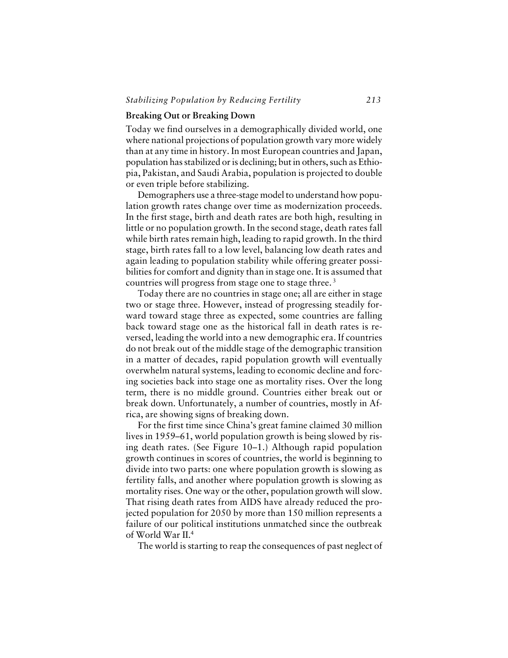#### **Breaking Out or Breaking Down**

Today we find ourselves in a demographically divided world, one where national projections of population growth vary more widely than at any time in history. In most European countries and Japan, population has stabilized or is declining; but in others, such as Ethiopia, Pakistan, and Saudi Arabia, population is projected to double or even triple before stabilizing.

Demographers use a three-stage model to understand how population growth rates change over time as modernization proceeds. In the first stage, birth and death rates are both high, resulting in little or no population growth. In the second stage, death rates fall while birth rates remain high, leading to rapid growth. In the third stage, birth rates fall to a low level, balancing low death rates and again leading to population stability while offering greater possibilities for comfort and dignity than in stage one. It is assumed that countries will progress from stage one to stage three.<sup>3</sup>

Today there are no countries in stage one; all are either in stage two or stage three. However, instead of progressing steadily forward toward stage three as expected, some countries are falling back toward stage one as the historical fall in death rates is reversed, leading the world into a new demographic era. If countries do not break out of the middle stage of the demographic transition in a matter of decades, rapid population growth will eventually overwhelm natural systems, leading to economic decline and forcing societies back into stage one as mortality rises. Over the long term, there is no middle ground. Countries either break out or break down. Unfortunately, a number of countries, mostly in Africa, are showing signs of breaking down.

For the first time since China's great famine claimed 30 million lives in 1959–61, world population growth is being slowed by rising death rates. (See Figure 10–1.) Although rapid population growth continues in scores of countries, the world is beginning to divide into two parts: one where population growth is slowing as fertility falls, and another where population growth is slowing as mortality rises. One way or the other, population growth will slow. That rising death rates from AIDS have already reduced the projected population for 2050 by more than 150 million represents a failure of our political institutions unmatched since the outbreak of World War II.<sup>4</sup>

The world is starting to reap the consequences of past neglect of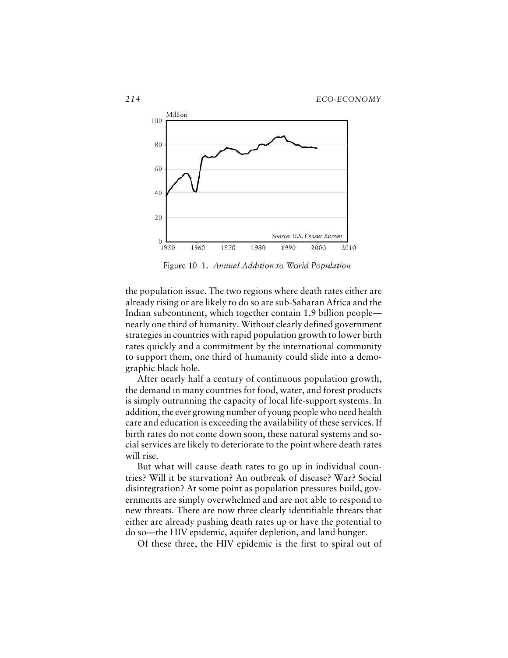

Figure 10-1. Annual Addition to World Population

the population issue. The two regions where death rates either are already rising or are likely to do so are sub-Saharan Africa and the Indian subcontinent, which together contain 1.9 billion people nearly one third of humanity. Without clearly defined government strategies in countries with rapid population growth to lower birth rates quickly and a commitment by the international community to support them, one third of humanity could slide into a demographic black hole.

After nearly half a century of continuous population growth, the demand in many countries for food, water, and forest products is simply outrunning the capacity of local life-support systems. In addition, the ever growing number of young people who need health care and education is exceeding the availability of these services. If birth rates do not come down soon, these natural systems and social services are likely to deteriorate to the point where death rates will rise.

But what will cause death rates to go up in individual countries? Will it be starvation? An outbreak of disease? War? Social disintegration? At some point as population pressures build, governments are simply overwhelmed and are not able to respond to new threats. There are now three clearly identifiable threats that either are already pushing death rates up or have the potential to do so—the HIV epidemic, aquifer depletion, and land hunger.

Of these three, the HIV epidemic is the first to spiral out of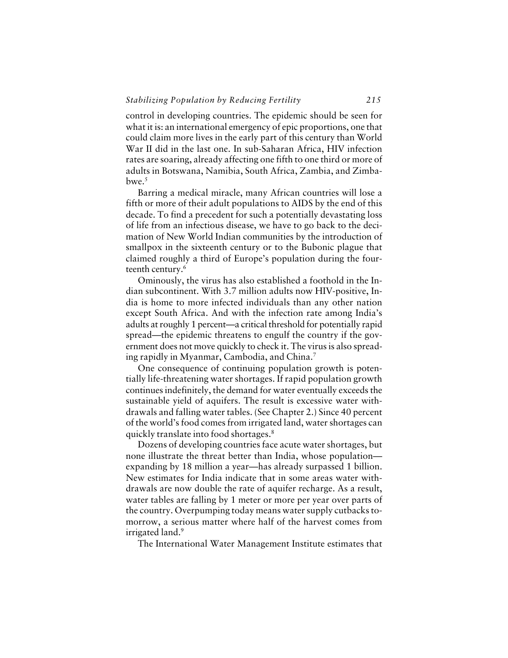control in developing countries. The epidemic should be seen for what it is: an international emergency of epic proportions, one that could claim more lives in the early part of this century than World War II did in the last one. In sub-Saharan Africa, HIV infection rates are soaring, already affecting one fifth to one third or more of adults in Botswana, Namibia, South Africa, Zambia, and Zimba $bwe.<sup>5</sup>$ 

Barring a medical miracle, many African countries will lose a fifth or more of their adult populations to AIDS by the end of this decade. To find a precedent for such a potentially devastating loss of life from an infectious disease, we have to go back to the decimation of New World Indian communities by the introduction of smallpox in the sixteenth century or to the Bubonic plague that claimed roughly a third of Europe's population during the fourteenth century.<sup>6</sup>

Ominously, the virus has also established a foothold in the Indian subcontinent. With 3.7 million adults now HIV-positive, India is home to more infected individuals than any other nation except South Africa. And with the infection rate among India's adults at roughly 1 percent—a critical threshold for potentially rapid spread—the epidemic threatens to engulf the country if the government does not move quickly to check it. The virus is also spreading rapidly in Myanmar, Cambodia, and China.<sup>7</sup>

One consequence of continuing population growth is potentially life-threatening water shortages. If rapid population growth continues indefinitely, the demand for water eventually exceeds the sustainable yield of aquifers. The result is excessive water withdrawals and falling water tables. (See Chapter 2.) Since 40 percent of the world's food comes from irrigated land, water shortages can quickly translate into food shortages.<sup>8</sup>

Dozens of developing countries face acute water shortages, but none illustrate the threat better than India, whose population expanding by 18 million a year—has already surpassed 1 billion. New estimates for India indicate that in some areas water withdrawals are now double the rate of aquifer recharge. As a result, water tables are falling by 1 meter or more per year over parts of the country. Overpumping today means water supply cutbacks tomorrow, a serious matter where half of the harvest comes from irrigated land.<sup>9</sup>

The International Water Management Institute estimates that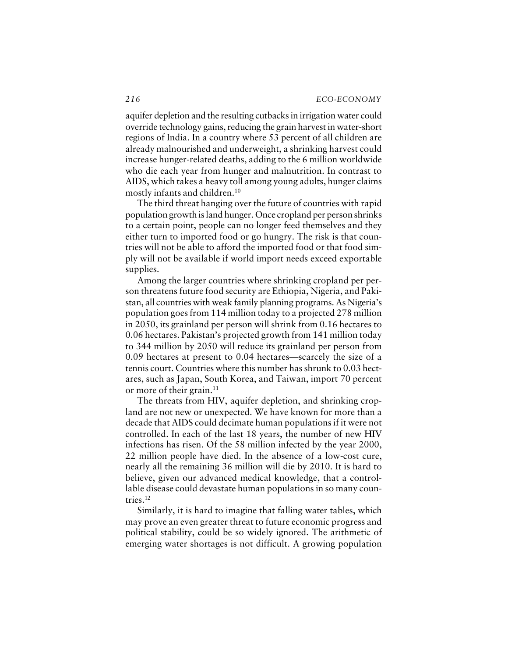#### *216 ECO-ECONOMY*

aquifer depletion and the resulting cutbacks in irrigation water could override technology gains, reducing the grain harvest in water-short regions of India. In a country where 53 percent of all children are already malnourished and underweight, a shrinking harvest could increase hunger-related deaths, adding to the 6 million worldwide who die each year from hunger and malnutrition. In contrast to AIDS, which takes a heavy toll among young adults, hunger claims mostly infants and children.<sup>10</sup>

The third threat hanging over the future of countries with rapid population growth is land hunger. Once cropland per person shrinks to a certain point, people can no longer feed themselves and they either turn to imported food or go hungry. The risk is that countries will not be able to afford the imported food or that food simply will not be available if world import needs exceed exportable supplies.

Among the larger countries where shrinking cropland per person threatens future food security are Ethiopia, Nigeria, and Pakistan, all countries with weak family planning programs. As Nigeria's population goes from 114 million today to a projected 278 million in 2050, its grainland per person will shrink from 0.16 hectares to 0.06 hectares. Pakistan's projected growth from 141 million today to 344 million by 2050 will reduce its grainland per person from 0.09 hectares at present to 0.04 hectares—scarcely the size of a tennis court. Countries where this number has shrunk to 0.03 hectares, such as Japan, South Korea, and Taiwan, import 70 percent or more of their grain.<sup>11</sup>

The threats from HIV, aquifer depletion, and shrinking cropland are not new or unexpected. We have known for more than a decade that AIDS could decimate human populations if it were not controlled. In each of the last 18 years, the number of new HIV infections has risen. Of the 58 million infected by the year 2000, 22 million people have died. In the absence of a low-cost cure, nearly all the remaining 36 million will die by 2010. It is hard to believe, given our advanced medical knowledge, that a controllable disease could devastate human populations in so many countries.<sup>12</sup>

Similarly, it is hard to imagine that falling water tables, which may prove an even greater threat to future economic progress and political stability, could be so widely ignored. The arithmetic of emerging water shortages is not difficult. A growing population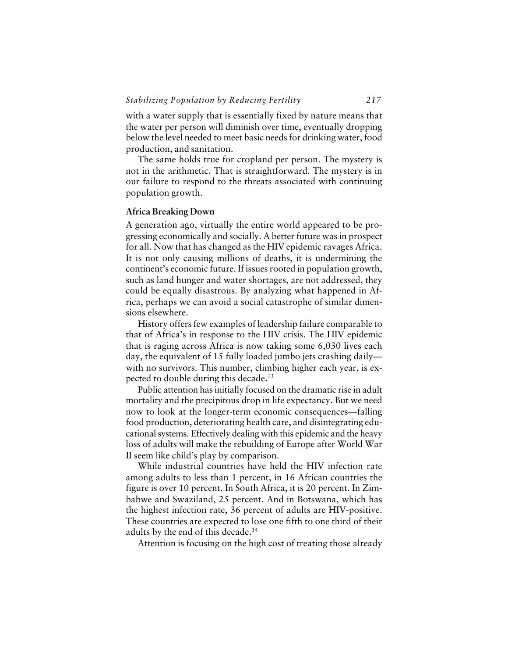with a water supply that is essentially fixed by nature means that the water per person will diminish over time, eventually dropping below the level needed to meet basic needs for drinking water, food production, and sanitation.

The same holds true for cropland per person. The mystery is not in the arithmetic. That is straightforward. The mystery is in our failure to respond to the threats associated with continuing population growth.

#### **Africa Breaking Down**

A generation ago, virtually the entire world appeared to be progressing economically and socially. A better future was in prospect for all. Now that has changed as the HIV epidemic ravages Africa. It is not only causing millions of deaths, it is undermining the continent's economic future. If issues rooted in population growth, such as land hunger and water shortages, are not addressed, they could be equally disastrous. By analyzing what happened in Africa, perhaps we can avoid a social catastrophe of similar dimensions elsewhere.

History offers few examples of leadership failure comparable to that of Africa's in response to the HIV crisis. The HIV epidemic that is raging across Africa is now taking some 6,030 lives each day, the equivalent of 15 fully loaded jumbo jets crashing daily with no survivors. This number, climbing higher each year, is expected to double during this decade.<sup>13</sup>

Public attention has initially focused on the dramatic rise in adult mortality and the precipitous drop in life expectancy. But we need now to look at the longer-term economic consequences—falling food production, deteriorating health care, and disintegrating educational systems. Effectively dealing with this epidemic and the heavy loss of adults will make the rebuilding of Europe after World War II seem like child's play by comparison.

While industrial countries have held the HIV infection rate among adults to less than 1 percent, in 16 African countries the figure is over 10 percent. In South Africa, it is 20 percent. In Zimbabwe and Swaziland, 25 percent. And in Botswana, which has the highest infection rate, 36 percent of adults are HIV-positive. These countries are expected to lose one fifth to one third of their adults by the end of this decade.<sup>14</sup>

Attention is focusing on the high cost of treating those already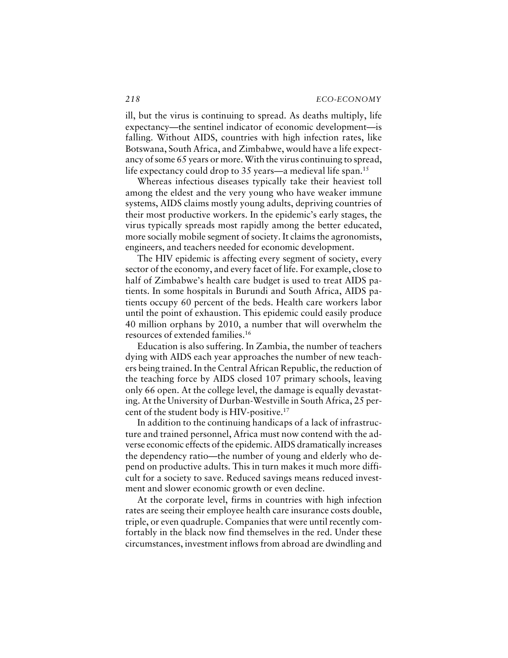ill, but the virus is continuing to spread. As deaths multiply, life expectancy—the sentinel indicator of economic development—is falling. Without AIDS, countries with high infection rates, like Botswana, South Africa, and Zimbabwe, would have a life expectancy of some 65 years or more. With the virus continuing to spread, life expectancy could drop to 35 years—a medieval life span.<sup>15</sup>

Whereas infectious diseases typically take their heaviest toll among the eldest and the very young who have weaker immune systems, AIDS claims mostly young adults, depriving countries of their most productive workers. In the epidemic's early stages, the virus typically spreads most rapidly among the better educated, more socially mobile segment of society. It claims the agronomists, engineers, and teachers needed for economic development.

The HIV epidemic is affecting every segment of society, every sector of the economy, and every facet of life. For example, close to half of Zimbabwe's health care budget is used to treat AIDS patients. In some hospitals in Burundi and South Africa, AIDS patients occupy 60 percent of the beds. Health care workers labor until the point of exhaustion. This epidemic could easily produce 40 million orphans by 2010, a number that will overwhelm the resources of extended families.<sup>16</sup>

Education is also suffering. In Zambia, the number of teachers dying with AIDS each year approaches the number of new teachers being trained. In the Central African Republic, the reduction of the teaching force by AIDS closed 107 primary schools, leaving only 66 open. At the college level, the damage is equally devastating. At the University of Durban-Westville in South Africa, 25 percent of the student body is HIV-positive.<sup>17</sup>

In addition to the continuing handicaps of a lack of infrastructure and trained personnel, Africa must now contend with the adverse economic effects of the epidemic. AIDS dramatically increases the dependency ratio—the number of young and elderly who depend on productive adults. This in turn makes it much more difficult for a society to save. Reduced savings means reduced investment and slower economic growth or even decline.

At the corporate level, firms in countries with high infection rates are seeing their employee health care insurance costs double, triple, or even quadruple. Companies that were until recently comfortably in the black now find themselves in the red. Under these circumstances, investment inflows from abroad are dwindling and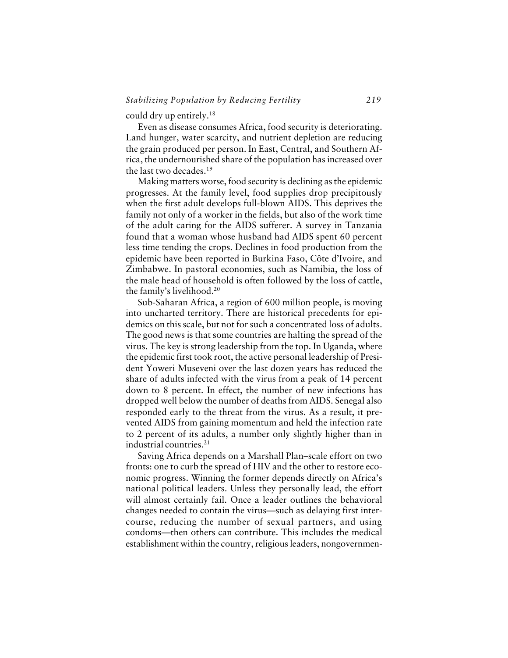#### could dry up entirely.<sup>18</sup>

Even as disease consumes Africa, food security is deteriorating. Land hunger, water scarcity, and nutrient depletion are reducing the grain produced per person. In East, Central, and Southern Africa, the undernourished share of the population has increased over the last two decades.<sup>19</sup>

Making matters worse, food security is declining as the epidemic progresses. At the family level, food supplies drop precipitously when the first adult develops full-blown AIDS. This deprives the family not only of a worker in the fields, but also of the work time of the adult caring for the AIDS sufferer. A survey in Tanzania found that a woman whose husband had AIDS spent 60 percent less time tending the crops. Declines in food production from the epidemic have been reported in Burkina Faso, Côte d'Ivoire, and Zimbabwe. In pastoral economies, such as Namibia, the loss of the male head of household is often followed by the loss of cattle, the family's livelihood.<sup>20</sup>

Sub-Saharan Africa, a region of 600 million people, is moving into uncharted territory. There are historical precedents for epidemics on this scale, but not for such a concentrated loss of adults. The good news is that some countries are halting the spread of the virus. The key is strong leadership from the top. In Uganda, where the epidemic first took root, the active personal leadership of President Yoweri Museveni over the last dozen years has reduced the share of adults infected with the virus from a peak of 14 percent down to 8 percent. In effect, the number of new infections has dropped well below the number of deaths from AIDS. Senegal also responded early to the threat from the virus. As a result, it prevented AIDS from gaining momentum and held the infection rate to 2 percent of its adults, a number only slightly higher than in industrial countries.<sup>21</sup>

Saving Africa depends on a Marshall Plan–scale effort on two fronts: one to curb the spread of HIV and the other to restore economic progress. Winning the former depends directly on Africa's national political leaders. Unless they personally lead, the effort will almost certainly fail. Once a leader outlines the behavioral changes needed to contain the virus—such as delaying first intercourse, reducing the number of sexual partners, and using condoms—then others can contribute. This includes the medical establishment within the country, religious leaders, nongovernmen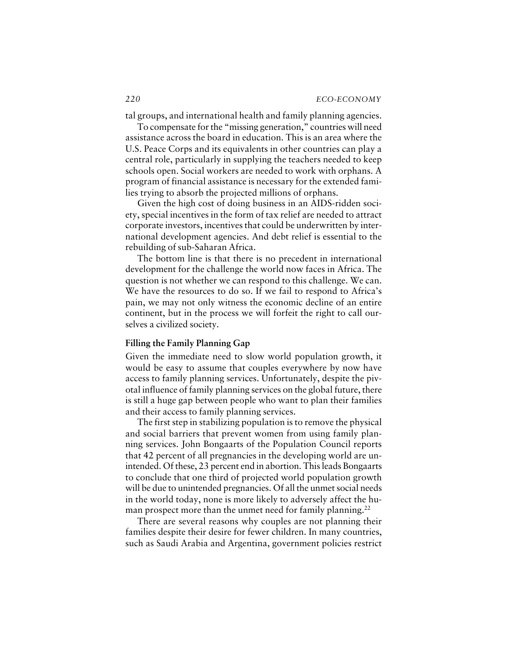tal groups, and international health and family planning agencies.

To compensate for the "missing generation," countries will need assistance across the board in education. This is an area where the U.S. Peace Corps and its equivalents in other countries can play a central role, particularly in supplying the teachers needed to keep schools open. Social workers are needed to work with orphans. A program of financial assistance is necessary for the extended families trying to absorb the projected millions of orphans.

Given the high cost of doing business in an AIDS-ridden society, special incentives in the form of tax relief are needed to attract corporate investors, incentives that could be underwritten by international development agencies. And debt relief is essential to the rebuilding of sub-Saharan Africa.

The bottom line is that there is no precedent in international development for the challenge the world now faces in Africa. The question is not whether we can respond to this challenge. We can. We have the resources to do so. If we fail to respond to Africa's pain, we may not only witness the economic decline of an entire continent, but in the process we will forfeit the right to call ourselves a civilized society.

#### **Filling the Family Planning Gap**

Given the immediate need to slow world population growth, it would be easy to assume that couples everywhere by now have access to family planning services. Unfortunately, despite the pivotal influence of family planning services on the global future, there is still a huge gap between people who want to plan their families and their access to family planning services.

The first step in stabilizing population is to remove the physical and social barriers that prevent women from using family planning services. John Bongaarts of the Population Council reports that 42 percent of all pregnancies in the developing world are unintended. Of these, 23 percent end in abortion. This leads Bongaarts to conclude that one third of projected world population growth will be due to unintended pregnancies. Of all the unmet social needs in the world today, none is more likely to adversely affect the human prospect more than the unmet need for family planning.<sup>22</sup>

There are several reasons why couples are not planning their families despite their desire for fewer children. In many countries, such as Saudi Arabia and Argentina, government policies restrict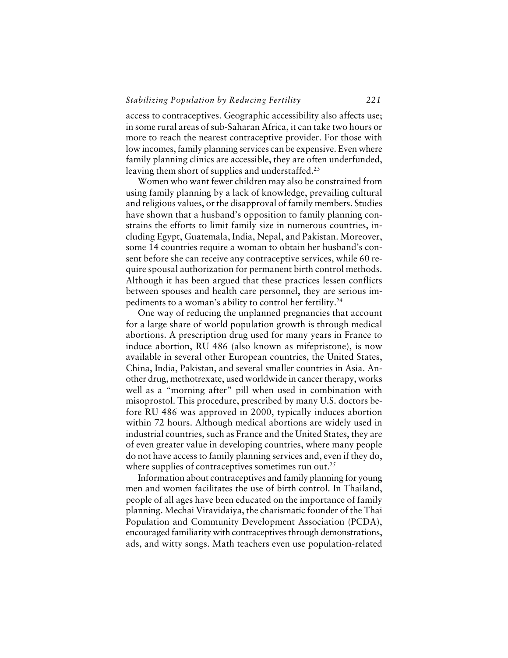access to contraceptives. Geographic accessibility also affects use; in some rural areas of sub-Saharan Africa, it can take two hours or more to reach the nearest contraceptive provider. For those with low incomes, family planning services can be expensive. Even where family planning clinics are accessible, they are often underfunded, leaving them short of supplies and understaffed.<sup>23</sup>

Women who want fewer children may also be constrained from using family planning by a lack of knowledge, prevailing cultural and religious values, or the disapproval of family members. Studies have shown that a husband's opposition to family planning constrains the efforts to limit family size in numerous countries, including Egypt, Guatemala, India, Nepal, and Pakistan. Moreover, some 14 countries require a woman to obtain her husband's consent before she can receive any contraceptive services, while 60 require spousal authorization for permanent birth control methods. Although it has been argued that these practices lessen conflicts between spouses and health care personnel, they are serious impediments to a woman's ability to control her fertility.<sup>24</sup>

One way of reducing the unplanned pregnancies that account for a large share of world population growth is through medical abortions. A prescription drug used for many years in France to induce abortion, RU 486 (also known as mifepristone), is now available in several other European countries, the United States, China, India, Pakistan, and several smaller countries in Asia. Another drug, methotrexate, used worldwide in cancer therapy, works well as a "morning after" pill when used in combination with misoprostol. This procedure, prescribed by many U.S. doctors before RU 486 was approved in 2000, typically induces abortion within 72 hours. Although medical abortions are widely used in industrial countries, such as France and the United States, they are of even greater value in developing countries, where many people do not have access to family planning services and, even if they do, where supplies of contraceptives sometimes run out.<sup>25</sup>

Information about contraceptives and family planning for young men and women facilitates the use of birth control. In Thailand, people of all ages have been educated on the importance of family planning. Mechai Viravidaiya, the charismatic founder of the Thai Population and Community Development Association (PCDA), encouraged familiarity with contraceptives through demonstrations, ads, and witty songs. Math teachers even use population-related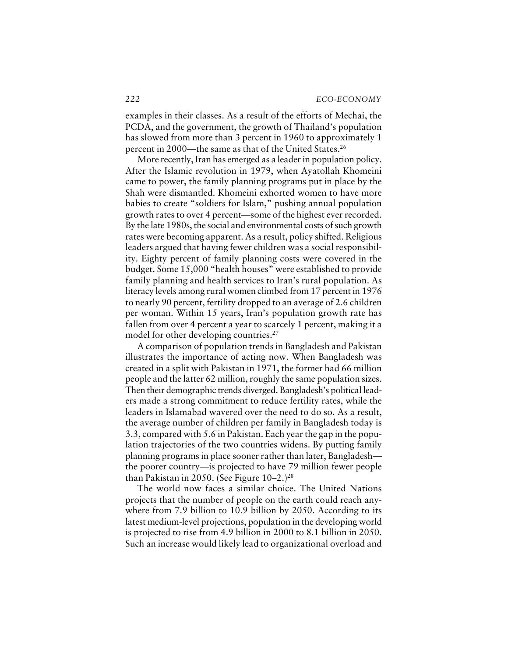examples in their classes. As a result of the efforts of Mechai, the PCDA, and the government, the growth of Thailand's population has slowed from more than 3 percent in 1960 to approximately 1 percent in 2000—the same as that of the United States.<sup>26</sup>

More recently, Iran has emerged as a leader in population policy. After the Islamic revolution in 1979, when Ayatollah Khomeini came to power, the family planning programs put in place by the Shah were dismantled. Khomeini exhorted women to have more babies to create "soldiers for Islam," pushing annual population growth rates to over 4 percent—some of the highest ever recorded. By the late 1980s, the social and environmental costs of such growth rates were becoming apparent. As a result, policy shifted. Religious leaders argued that having fewer children was a social responsibility. Eighty percent of family planning costs were covered in the budget. Some 15,000 "health houses" were established to provide family planning and health services to Iran's rural population. As literacy levels among rural women climbed from 17 percent in 1976 to nearly 90 percent, fertility dropped to an average of 2.6 children per woman. Within 15 years, Iran's population growth rate has fallen from over 4 percent a year to scarcely 1 percent, making it a model for other developing countries.<sup>27</sup>

A comparison of population trends in Bangladesh and Pakistan illustrates the importance of acting now. When Bangladesh was created in a split with Pakistan in 1971, the former had 66 million people and the latter 62 million, roughly the same population sizes. Then their demographic trends diverged. Bangladesh's political leaders made a strong commitment to reduce fertility rates, while the leaders in Islamabad wavered over the need to do so. As a result, the average number of children per family in Bangladesh today is 3.3, compared with 5.6 in Pakistan. Each year the gap in the population trajectories of the two countries widens. By putting family planning programs in place sooner rather than later, Bangladesh the poorer country—is projected to have 79 million fewer people than Pakistan in 2050. (See Figure  $10-2.$ )<sup>28</sup>

The world now faces a similar choice. The United Nations projects that the number of people on the earth could reach anywhere from 7.9 billion to 10.9 billion by 2050. According to its latest medium-level projections, population in the developing world is projected to rise from 4.9 billion in 2000 to 8.1 billion in 2050. Such an increase would likely lead to organizational overload and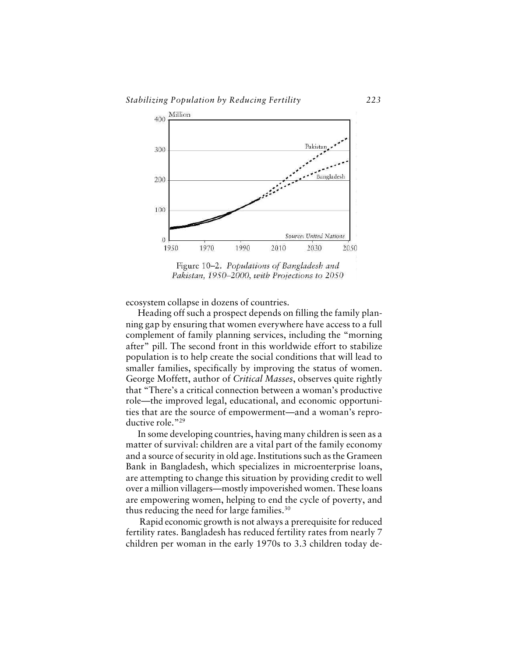#### *Stabilizing Population by Reducing Fertility 223*



Figure 10-2. Populations of Bangladesh and Pakistan, 1950-2000, with Projections to 2050

ecosystem collapse in dozens of countries.

Heading off such a prospect depends on filling the family planning gap by ensuring that women everywhere have access to a full complement of family planning services, including the "morning after" pill. The second front in this worldwide effort to stabilize population is to help create the social conditions that will lead to smaller families, specifically by improving the status of women. George Moffett, author of *Critical Masses*, observes quite rightly that "There's a critical connection between a woman's productive role—the improved legal, educational, and economic opportunities that are the source of empowerment—and a woman's reproductive role."<sup>29</sup>

In some developing countries, having many children is seen as a matter of survival: children are a vital part of the family economy and a source of security in old age. Institutions such as the Grameen Bank in Bangladesh, which specializes in microenterprise loans, are attempting to change this situation by providing credit to well over a million villagers—mostly impoverished women. These loans are empowering women, helping to end the cycle of poverty, and thus reducing the need for large families.<sup>30</sup>

 Rapid economic growth is not always a prerequisite for reduced fertility rates. Bangladesh has reduced fertility rates from nearly 7 children per woman in the early 1970s to 3.3 children today de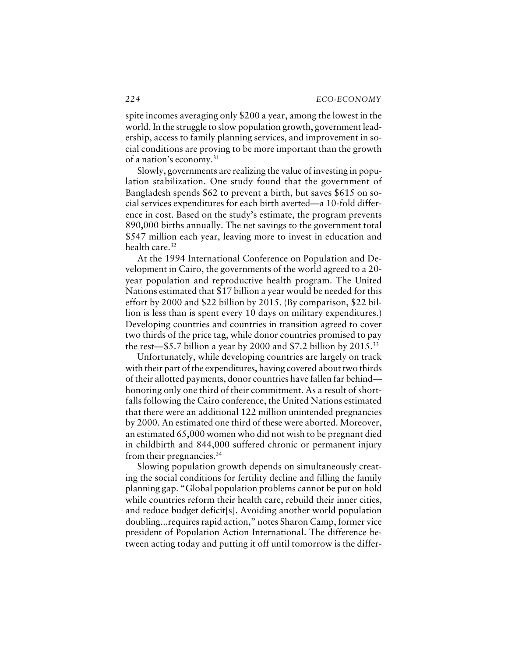spite incomes averaging only \$200 a year, among the lowest in the world. In the struggle to slow population growth, government leadership, access to family planning services, and improvement in social conditions are proving to be more important than the growth of a nation's economy.<sup>31</sup>

Slowly, governments are realizing the value of investing in population stabilization. One study found that the government of Bangladesh spends \$62 to prevent a birth, but saves \$615 on social services expenditures for each birth averted—a 10-fold difference in cost. Based on the study's estimate, the program prevents 890,000 births annually. The net savings to the government total \$547 million each year, leaving more to invest in education and health care.<sup>32</sup>

At the 1994 International Conference on Population and Development in Cairo, the governments of the world agreed to a 20 year population and reproductive health program. The United Nations estimated that \$17 billion a year would be needed for this effort by 2000 and \$22 billion by 2015. (By comparison, \$22 billion is less than is spent every 10 days on military expenditures.) Developing countries and countries in transition agreed to cover two thirds of the price tag, while donor countries promised to pay the rest—\$5.7 billion a year by 2000 and \$7.2 billion by 2015.<sup>33</sup>

Unfortunately, while developing countries are largely on track with their part of the expenditures, having covered about two thirds of their allotted payments, donor countries have fallen far behind honoring only one third of their commitment. As a result of shortfalls following the Cairo conference, the United Nations estimated that there were an additional 122 million unintended pregnancies by 2000. An estimated one third of these were aborted. Moreover, an estimated 65,000 women who did not wish to be pregnant died in childbirth and 844,000 suffered chronic or permanent injury from their pregnancies.<sup>34</sup>

Slowing population growth depends on simultaneously creating the social conditions for fertility decline and filling the family planning gap. "Global population problems cannot be put on hold while countries reform their health care, rebuild their inner cities, and reduce budget deficit[s]. Avoiding another world population doubling...requires rapid action," notes Sharon Camp, former vice president of Population Action International. The difference between acting today and putting it off until tomorrow is the differ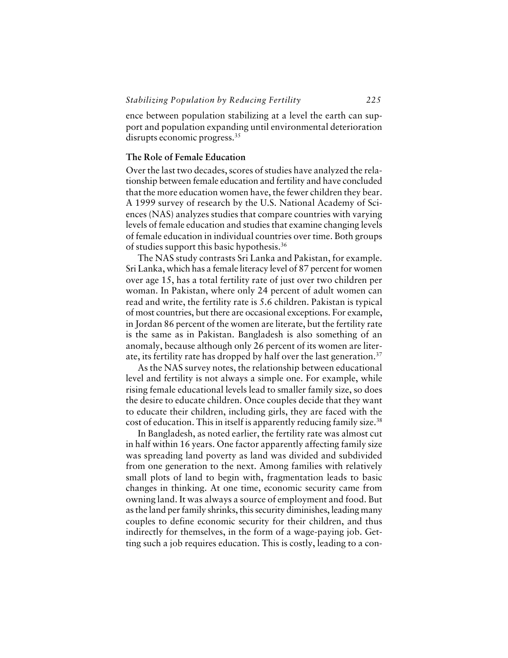ence between population stabilizing at a level the earth can support and population expanding until environmental deterioration disrupts economic progress.<sup>35</sup>

## **The Role of Female Education**

Over the last two decades, scores of studies have analyzed the relationship between female education and fertility and have concluded that the more education women have, the fewer children they bear. A 1999 survey of research by the U.S. National Academy of Sciences (NAS) analyzes studies that compare countries with varying levels of female education and studies that examine changing levels of female education in individual countries over time. Both groups of studies support this basic hypothesis.<sup>36</sup>

The NAS study contrasts Sri Lanka and Pakistan, for example. Sri Lanka, which has a female literacy level of 87 percent for women over age 15, has a total fertility rate of just over two children per woman. In Pakistan, where only 24 percent of adult women can read and write, the fertility rate is 5.6 children. Pakistan is typical of most countries, but there are occasional exceptions. For example, in Jordan 86 percent of the women are literate, but the fertility rate is the same as in Pakistan. Bangladesh is also something of an anomaly, because although only 26 percent of its women are literate, its fertility rate has dropped by half over the last generation.<sup>37</sup>

As the NAS survey notes, the relationship between educational level and fertility is not always a simple one. For example, while rising female educational levels lead to smaller family size, so does the desire to educate children. Once couples decide that they want to educate their children, including girls, they are faced with the cost of education. This in itself is apparently reducing family size.<sup>38</sup>

In Bangladesh, as noted earlier, the fertility rate was almost cut in half within 16 years. One factor apparently affecting family size was spreading land poverty as land was divided and subdivided from one generation to the next. Among families with relatively small plots of land to begin with, fragmentation leads to basic changes in thinking. At one time, economic security came from owning land. It was always a source of employment and food. But as the land per family shrinks, this security diminishes, leading many couples to define economic security for their children, and thus indirectly for themselves, in the form of a wage-paying job. Getting such a job requires education. This is costly, leading to a con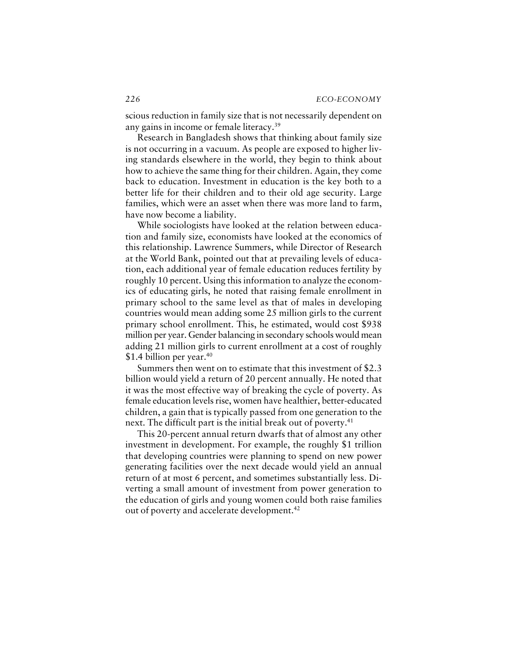scious reduction in family size that is not necessarily dependent on any gains in income or female literacy.<sup>39</sup>

Research in Bangladesh shows that thinking about family size is not occurring in a vacuum. As people are exposed to higher living standards elsewhere in the world, they begin to think about how to achieve the same thing for their children. Again, they come back to education. Investment in education is the key both to a better life for their children and to their old age security. Large families, which were an asset when there was more land to farm, have now become a liability.

While sociologists have looked at the relation between education and family size, economists have looked at the economics of this relationship. Lawrence Summers, while Director of Research at the World Bank, pointed out that at prevailing levels of education, each additional year of female education reduces fertility by roughly 10 percent. Using this information to analyze the economics of educating girls, he noted that raising female enrollment in primary school to the same level as that of males in developing countries would mean adding some 25 million girls to the current primary school enrollment. This, he estimated, would cost \$938 million per year. Gender balancing in secondary schools would mean adding 21 million girls to current enrollment at a cost of roughly \$1.4 billion per year.<sup>40</sup>

Summers then went on to estimate that this investment of \$2.3 billion would yield a return of 20 percent annually. He noted that it was the most effective way of breaking the cycle of poverty. As female education levels rise, women have healthier, better-educated children, a gain that is typically passed from one generation to the next. The difficult part is the initial break out of poverty.<sup>41</sup>

This 20-percent annual return dwarfs that of almost any other investment in development. For example, the roughly \$1 trillion that developing countries were planning to spend on new power generating facilities over the next decade would yield an annual return of at most 6 percent, and sometimes substantially less. Diverting a small amount of investment from power generation to the education of girls and young women could both raise families out of poverty and accelerate development.<sup>42</sup>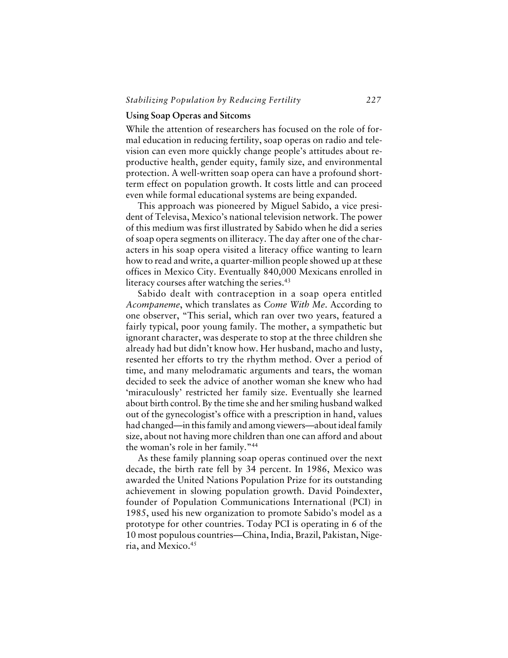### **Using Soap Operas and Sitcoms**

While the attention of researchers has focused on the role of formal education in reducing fertility, soap operas on radio and television can even more quickly change people's attitudes about reproductive health, gender equity, family size, and environmental protection. A well-written soap opera can have a profound shortterm effect on population growth. It costs little and can proceed even while formal educational systems are being expanded.

This approach was pioneered by Miguel Sabido, a vice president of Televisa, Mexico's national television network. The power of this medium was first illustrated by Sabido when he did a series of soap opera segments on illiteracy. The day after one of the characters in his soap opera visited a literacy office wanting to learn how to read and write, a quarter-million people showed up at these offices in Mexico City. Eventually 840,000 Mexicans enrolled in literacy courses after watching the series.<sup>43</sup>

Sabido dealt with contraception in a soap opera entitled *Acompaneme*, which translates as *Come With Me*. According to one observer, "This serial, which ran over two years, featured a fairly typical, poor young family. The mother, a sympathetic but ignorant character, was desperate to stop at the three children she already had but didn't know how. Her husband, macho and lusty, resented her efforts to try the rhythm method. Over a period of time, and many melodramatic arguments and tears, the woman decided to seek the advice of another woman she knew who had 'miraculously' restricted her family size. Eventually she learned about birth control. By the time she and her smiling husband walked out of the gynecologist's office with a prescription in hand, values had changed—in this family and among viewers—about ideal family size, about not having more children than one can afford and about the woman's role in her family."<sup>44</sup>

As these family planning soap operas continued over the next decade, the birth rate fell by 34 percent. In 1986, Mexico was awarded the United Nations Population Prize for its outstanding achievement in slowing population growth. David Poindexter, founder of Population Communications International (PCI) in 1985, used his new organization to promote Sabido's model as a prototype for other countries. Today PCI is operating in 6 of the 10 most populous countries—China, India, Brazil, Pakistan, Nigeria, and Mexico.45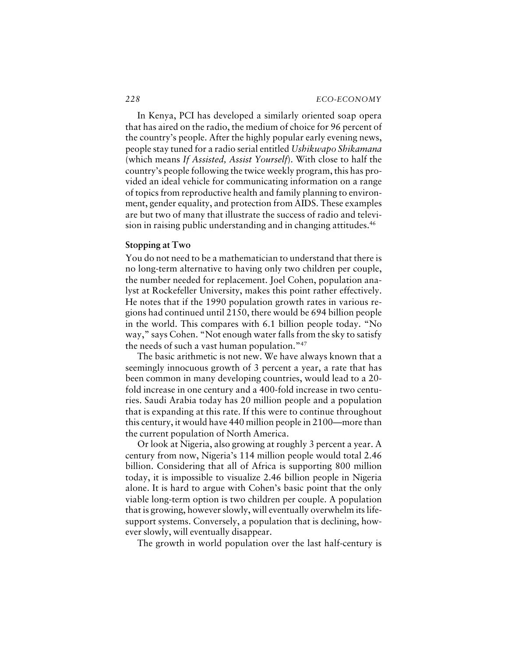In Kenya, PCI has developed a similarly oriented soap opera that has aired on the radio, the medium of choice for 96 percent of the country's people. After the highly popular early evening news, people stay tuned for a radio serial entitled *Ushikwapo Shikamana* (which means *If Assisted, Assist Yourself*). With close to half the country's people following the twice weekly program, this has provided an ideal vehicle for communicating information on a range of topics from reproductive health and family planning to environment, gender equality, and protection from AIDS. These examples are but two of many that illustrate the success of radio and television in raising public understanding and in changing attitudes.<sup>46</sup>

#### **Stopping at Two**

You do not need to be a mathematician to understand that there is no long-term alternative to having only two children per couple, the number needed for replacement. Joel Cohen, population analyst at Rockefeller University, makes this point rather effectively. He notes that if the 1990 population growth rates in various regions had continued until 2150, there would be 694 billion people in the world. This compares with 6.1 billion people today. "No way," says Cohen. "Not enough water falls from the sky to satisfy the needs of such a vast human population."<sup>47</sup>

The basic arithmetic is not new. We have always known that a seemingly innocuous growth of 3 percent a year, a rate that has been common in many developing countries, would lead to a 20 fold increase in one century and a 400-fold increase in two centuries. Saudi Arabia today has 20 million people and a population that is expanding at this rate. If this were to continue throughout this century, it would have 440 million people in 2100—more than the current population of North America.

Or look at Nigeria, also growing at roughly 3 percent a year. A century from now, Nigeria's 114 million people would total 2.46 billion. Considering that all of Africa is supporting 800 million today, it is impossible to visualize 2.46 billion people in Nigeria alone. It is hard to argue with Cohen's basic point that the only viable long-term option is two children per couple. A population that is growing, however slowly, will eventually overwhelm its lifesupport systems. Conversely, a population that is declining, however slowly, will eventually disappear.

The growth in world population over the last half-century is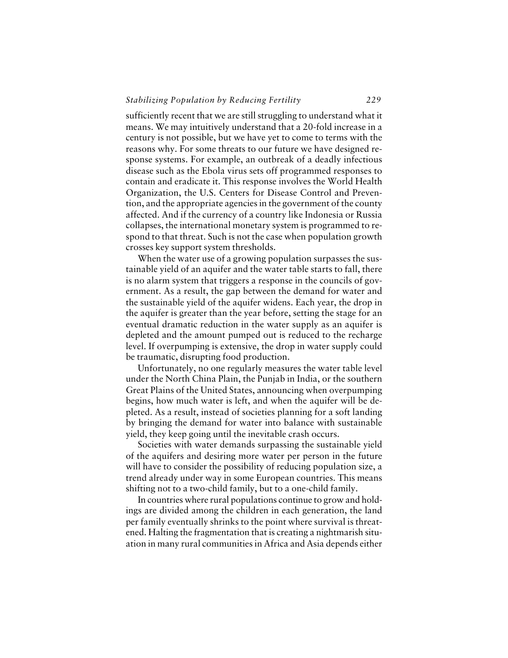sufficiently recent that we are still struggling to understand what it means. We may intuitively understand that a 20-fold increase in a century is not possible, but we have yet to come to terms with the reasons why. For some threats to our future we have designed response systems. For example, an outbreak of a deadly infectious disease such as the Ebola virus sets off programmed responses to contain and eradicate it. This response involves the World Health Organization, the U.S. Centers for Disease Control and Prevention, and the appropriate agencies in the government of the county affected. And if the currency of a country like Indonesia or Russia collapses, the international monetary system is programmed to respond to that threat. Such is not the case when population growth crosses key support system thresholds.

When the water use of a growing population surpasses the sustainable yield of an aquifer and the water table starts to fall, there is no alarm system that triggers a response in the councils of government. As a result, the gap between the demand for water and the sustainable yield of the aquifer widens. Each year, the drop in the aquifer is greater than the year before, setting the stage for an eventual dramatic reduction in the water supply as an aquifer is depleted and the amount pumped out is reduced to the recharge level. If overpumping is extensive, the drop in water supply could be traumatic, disrupting food production.

Unfortunately, no one regularly measures the water table level under the North China Plain, the Punjab in India, or the southern Great Plains of the United States, announcing when overpumping begins, how much water is left, and when the aquifer will be depleted. As a result, instead of societies planning for a soft landing by bringing the demand for water into balance with sustainable yield, they keep going until the inevitable crash occurs.

Societies with water demands surpassing the sustainable yield of the aquifers and desiring more water per person in the future will have to consider the possibility of reducing population size, a trend already under way in some European countries. This means shifting not to a two-child family, but to a one-child family.

In countries where rural populations continue to grow and holdings are divided among the children in each generation, the land per family eventually shrinks to the point where survival is threatened. Halting the fragmentation that is creating a nightmarish situation in many rural communities in Africa and Asia depends either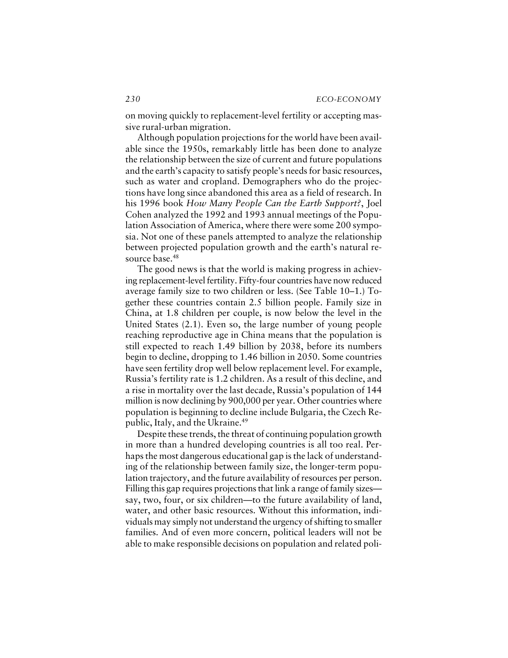on moving quickly to replacement-level fertility or accepting massive rural-urban migration.

Although population projections for the world have been available since the 1950s, remarkably little has been done to analyze the relationship between the size of current and future populations and the earth's capacity to satisfy people's needs for basic resources, such as water and cropland. Demographers who do the projections have long since abandoned this area as a field of research. In his 1996 book *How Many People Can the Earth Support?*, Joel Cohen analyzed the 1992 and 1993 annual meetings of the Population Association of America, where there were some 200 symposia. Not one of these panels attempted to analyze the relationship between projected population growth and the earth's natural resource base.<sup>48</sup>

The good news is that the world is making progress in achieving replacement-level fertility. Fifty-four countries have now reduced average family size to two children or less. (See Table 10–1.) Together these countries contain 2.5 billion people. Family size in China, at 1.8 children per couple, is now below the level in the United States (2.1). Even so, the large number of young people reaching reproductive age in China means that the population is still expected to reach 1.49 billion by 2038, before its numbers begin to decline, dropping to 1.46 billion in 2050. Some countries have seen fertility drop well below replacement level. For example, Russia's fertility rate is 1.2 children. As a result of this decline, and a rise in mortality over the last decade, Russia's population of 144 million is now declining by 900,000 per year. Other countries where population is beginning to decline include Bulgaria, the Czech Republic, Italy, and the Ukraine.<sup>49</sup>

Despite these trends, the threat of continuing population growth in more than a hundred developing countries is all too real. Perhaps the most dangerous educational gap is the lack of understanding of the relationship between family size, the longer-term population trajectory, and the future availability of resources per person. Filling this gap requires projections that link a range of family sizes say, two, four, or six children—to the future availability of land, water, and other basic resources. Without this information, individuals may simply not understand the urgency of shifting to smaller families. And of even more concern, political leaders will not be able to make responsible decisions on population and related poli-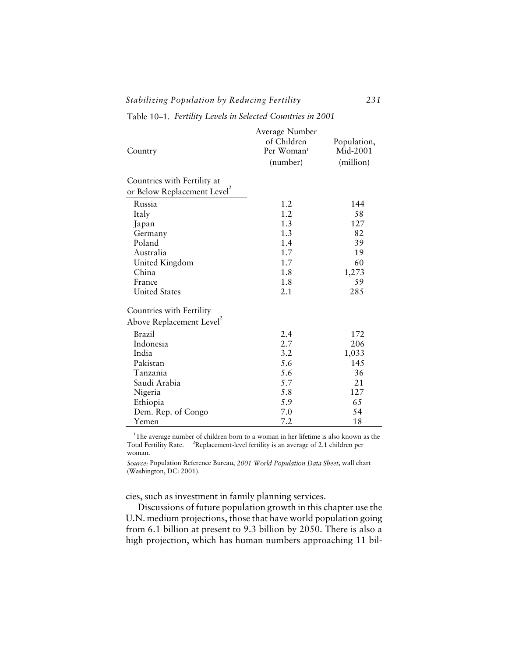Table 10–1. *Fertility Levels in Selected Countries in 2001*

|                                         | Average Number         |             |
|-----------------------------------------|------------------------|-------------|
|                                         | of Children            | Population, |
| Country                                 | Per Woman <sup>1</sup> | Mid-2001    |
|                                         | (number)               | (million)   |
| Countries with Fertility at             |                        |             |
| or Below Replacement Level <sup>2</sup> |                        |             |
| Russia                                  | 1.2                    | 144         |
| Italy                                   | 1.2                    | 58          |
| Japan                                   | 1.3                    | 127         |
| Germany                                 | 1.3                    | 82          |
| Poland                                  | 1.4                    | 39          |
| Australia                               | 1.7                    | 19          |
| United Kingdom                          | 1.7                    | 60          |
| China                                   | 1.8                    | 1,273       |
| France                                  | 1.8                    | 59          |
| <b>United States</b>                    | 2.1                    | 285         |
| Countries with Fertility                |                        |             |
| Above Replacement Level <sup>2</sup>    |                        |             |
| Brazil                                  | 2.4                    | 172         |
| Indonesia                               | 2.7                    | 206         |
| India                                   | 3.2                    | 1,033       |
| Pakistan                                | 5.6                    | 145         |
| Tanzania                                | 5.6                    | 36          |
| Saudi Arabia                            | 5.7                    | 21          |
| Nigeria                                 | 5.8                    | 127         |
| Ethiopia                                | 5.9                    | 65          |
| Dem. Rep. of Congo                      | 7.0                    | 54          |
| Yemen                                   | 7.2                    | 18          |

<sup>1</sup>The average number of children born to a woman in her lifetime is also known as the Total Fertility Rate. <sup>2</sup>Replacement-level fertility is an average of 2.1 children per woman.

*Source:* Population Reference Bureau, *2001 World Population Data Sheet*, wall chart (Washington, DC: 2001).

cies, such as investment in family planning services.

Discussions of future population growth in this chapter use the U.N. medium projections, those that have world population going from 6.1 billion at present to 9.3 billion by 2050. There is also a high projection, which has human numbers approaching 11 bil-